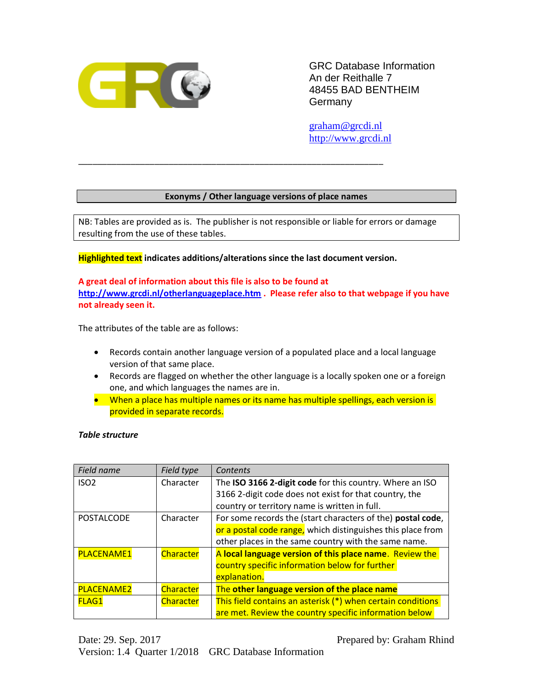

GRC Database Information An der Reithalle 7 48455 BAD BENTHEIM **Germany** 

[graham@grcdi.nl](mailto:graham@grcdi.nl) [http://www.grcdi.nl](http://www.grcdi.nl/)

## **Exonyms / Other language versions of place names**

NB: Tables are provided as is. The publisher is not responsible or liable for errors or damage resulting from the use of these tables.

**Highlighted text indicates additions/alterations since the last document version.**

\_\_\_\_\_\_\_\_\_\_\_\_\_\_\_\_\_\_\_\_\_\_\_\_\_\_\_\_\_\_\_\_\_\_\_\_\_\_\_\_\_\_\_\_\_\_\_\_\_\_\_\_\_\_\_\_\_\_\_\_\_\_\_\_

**A great deal of information about this file is also to be found at <http://www.grcdi.nl/otherlanguageplace.htm> . Please refer also to that webpage if you have not already seen it.** 

The attributes of the table are as follows:

- Records contain another language version of a populated place and a local language version of that same place.
- Records are flagged on whether the other language is a locally spoken one or a foreign one, and which languages the names are in.
- When a place has multiple names or its name has multiple spellings, each version is provided in separate records.

#### *Table structure*

| Field name        | Field type       | Contents                                                    |
|-------------------|------------------|-------------------------------------------------------------|
| ISO <sub>2</sub>  | Character        | The ISO 3166 2-digit code for this country. Where an ISO    |
|                   |                  | 3166 2-digit code does not exist for that country, the      |
|                   |                  | country or territory name is written in full.               |
| <b>POSTALCODE</b> | Character        | For some records the (start characters of the) postal code, |
|                   |                  | or a postal code range, which distinguishes this place from |
|                   |                  | other places in the same country with the same name.        |
| <b>PLACENAME1</b> | <b>Character</b> | A local language version of this place name. Review the     |
|                   |                  | country specific information below for further              |
|                   |                  | explanation.                                                |
| <b>PLACENAME2</b> | <b>Character</b> | The other language version of the place name                |
| <b>FLAG1</b>      | Character        | This field contains an asterisk (*) when certain conditions |
|                   |                  | are met. Review the country specific information below      |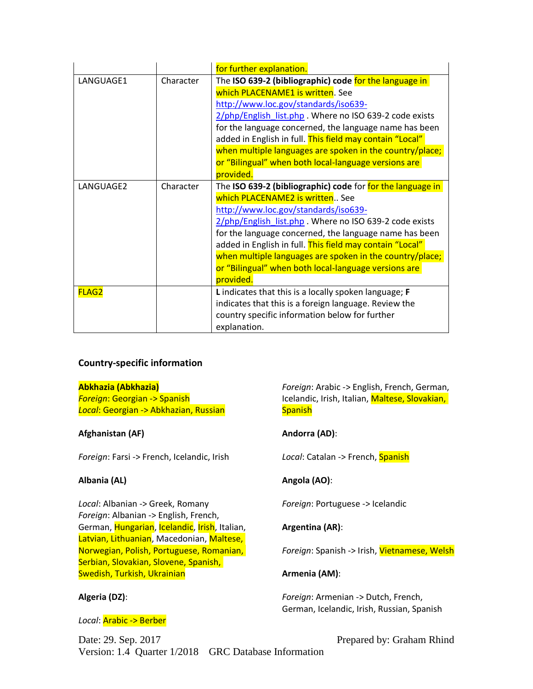|              |           | for further explanation.                                   |
|--------------|-----------|------------------------------------------------------------|
| LANGUAGE1    | Character | The ISO 639-2 (bibliographic) code for the language in     |
|              |           | which PLACENAME1 is written. See                           |
|              |           | http://www.loc.gov/standards/iso639-                       |
|              |           | 2/php/English list.php . Where no ISO 639-2 code exists    |
|              |           | for the language concerned, the language name has been     |
|              |           | added in English in full. This field may contain "Local"   |
|              |           | when multiple languages are spoken in the country/place;   |
|              |           | or "Bilingual" when both local-language versions are       |
|              |           | provided.                                                  |
| LANGUAGE2    | Character | The ISO 639-2 (bibliographic) code for for the language in |
|              |           | which PLACENAME2 is written See                            |
|              |           | http://www.loc.gov/standards/iso639-                       |
|              |           | 2/php/English list.php . Where no ISO 639-2 code exists    |
|              |           | for the language concerned, the language name has been     |
|              |           | added in English in full. This field may contain "Local"   |
|              |           | when multiple languages are spoken in the country/place;   |
|              |           | or "Bilingual" when both local-language versions are       |
|              |           | provided.                                                  |
| <b>FLAG2</b> |           | L indicates that this is a locally spoken language; F      |
|              |           | indicates that this is a foreign language. Review the      |
|              |           | country specific information below for further             |
|              |           | explanation.                                               |

# **Country-specific information**

## **Abkhazia (Abkhazia)**

*Foreign*: Georgian -> Spanish *Local*: Georgian -> Abkhazian, Russian

## **Afghanistan (AF)**

*Foreign*: Farsi -> French, Icelandic, Irish

## **Albania (AL)**

*Local*: Albanian -> Greek, Romany *Foreign*: Albanian -> English, French, German, Hungarian, Icelandic, Irish, Italian, Latvian, Lithuanian, Macedonian, Maltese, Norwegian, Polish, Portuguese, Romanian, Serbian, Slovakian, Slovene, Spanish, Swedish, Turkish, Ukrainian

## **Algeria (DZ)**:

#### *Local*: Arabic -> Berber

*Foreign*: Arabic -> English, French, German, Icelandic, Irish, Italian, Maltese, Slovakian, **Spanish** 

## **Andorra (AD)**:

*Local*: Catalan -> French, Spanish

## **Angola (AO)**:

*Foreign*: Portuguese -> Icelandic

## **Argentina (AR)**:

*Foreign*: Spanish -> Irish, Vietnamese, Welsh

## **Armenia (AM)**:

*Foreign*: Armenian -> Dutch, French, German, Icelandic, Irish, Russian, Spanish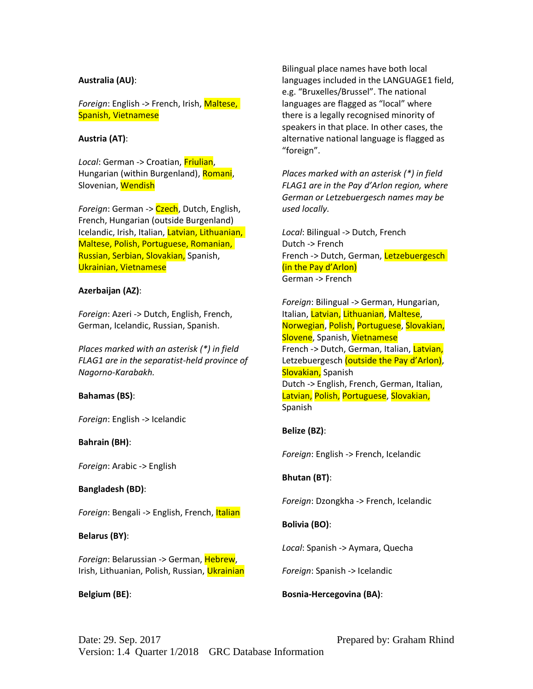### **Australia (AU)**:

*Foreign*: English -> French, Irish, Maltese, Spanish, Vietnamese

### **Austria (AT)**:

*Local*: German -> Croatian, Friulian, Hungarian (within Burgenland), Romani, Slovenian, Wendish

*Foreign*: German -> Czech, Dutch, English, French, Hungarian (outside Burgenland) Icelandic, Irish, Italian, Latvian, Lithuanian, Maltese, Polish, Portuguese, Romanian, Russian, Serbian, Slovakian, Spanish, Ukrainian, Vietnamese

### **Azerbaijan (AZ)**:

*Foreign*: Azeri -> Dutch, English, French, German, Icelandic, Russian, Spanish.

*Places marked with an asterisk (\*) in field FLAG1 are in the separatist-held province of Nagorno-Karabakh.* 

#### **Bahamas (BS)**:

*Foreign*: English -> Icelandic

#### **Bahrain (BH)**:

*Foreign*: Arabic -> English

#### **Bangladesh (BD)**:

*Foreign*: Bengali -> English, French, Italian

## **Belarus (BY)**:

*Foreign*: Belarussian -> German, Hebrew, Irish, Lithuanian, Polish, Russian, Ukrainian

**Belgium (BE)**:

Bilingual place names have both local languages included in the LANGUAGE1 field, e.g. "Bruxelles/Brussel". The national languages are flagged as "local" where there is a legally recognised minority of speakers in that place. In other cases, the alternative national language is flagged as "foreign".

*Places marked with an asterisk (\*) in field FLAG1 are in the Pay d'Arlon region, where German or Letzebuergesch names may be used locally.* 

*Local*: Bilingual -> Dutch, French Dutch -> French French -> Dutch, German, Letzebuergesch (in the Pay d'Arlon) German -> French

*Foreign*: Bilingual -> German, Hungarian, Italian, Latvian, Lithuanian, Maltese, Norwegian, Polish, Portuguese, Slovakian, Slovene, Spanish, Vietnamese French -> Dutch, German, Italian, Latvian, Letzebuergesch (outside the Pay d'Arlon), Slovakian, Spanish Dutch -> English, French, German, Italian, Latvian, Polish, Portuguese, Slovakian, Spanish

## **Belize (BZ)**:

*Foreign*: English -> French, Icelandic

**Bhutan (BT)**:

*Foreign*: Dzongkha -> French, Icelandic

## **Bolivia (BO)**:

*Local*: Spanish -> Aymara, Quecha

*Foreign*: Spanish -> Icelandic

#### **Bosnia-Hercegovina (BA)**: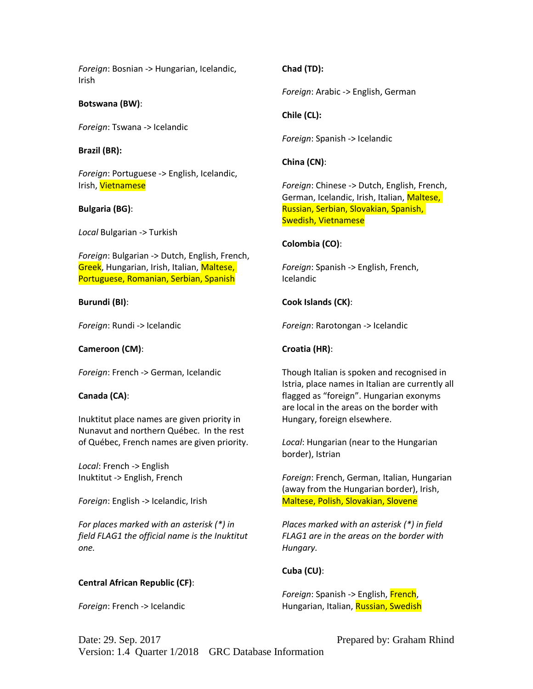*Foreign*: Bosnian -> Hungarian, Icelandic, Irish

**Botswana (BW)**:

*Foreign*: Tswana -> Icelandic

### **Brazil (BR):**

*Foreign*: Portuguese -> English, Icelandic, Irish, Vietnamese

## **Bulgaria (BG)**:

*Local* Bulgarian -> Turkish

*Foreign*: Bulgarian -> Dutch, English, French, Greek, Hungarian, Irish, Italian, Maltese, Portuguese, Romanian, Serbian, Spanish

## **Burundi (BI)**:

*Foreign*: Rundi -> Icelandic

## **Cameroon (CM)**:

*Foreign*: French -> German, Icelandic

## **Canada (CA)**:

Inuktitut place names are given priority in Nunavut and northern Québec. In the rest of Québec, French names are given priority.

*Local*: French -> English Inuktitut -> English, French

*Foreign*: English -> Icelandic, Irish

*For places marked with an asterisk (\*) in field FLAG1 the official name is the Inuktitut one.* 

# **Central African Republic (CF)**:

*Foreign*: French -> Icelandic

# **Chad (TD):**

*Foreign*: Arabic -> English, German

## **Chile (CL):**

*Foreign*: Spanish -> Icelandic

## **China (CN)**:

*Foreign*: Chinese -> Dutch, English, French, German, Icelandic, Irish, Italian, Maltese, Russian, Serbian, Slovakian, Spanish, Swedish, Vietnamese

## **Colombia (CO)**:

*Foreign*: Spanish -> English, French, Icelandic

# **Cook Islands (CK)**:

*Foreign*: Rarotongan -> Icelandic

# **Croatia (HR)**:

Though Italian is spoken and recognised in Istria, place names in Italian are currently all flagged as "foreign". Hungarian exonyms are local in the areas on the border with Hungary, foreign elsewhere.

*Local*: Hungarian (near to the Hungarian border), Istrian

*Foreign*: French, German, Italian, Hungarian (away from the Hungarian border), Irish, Maltese, Polish, Slovakian, Slovene

*Places marked with an asterisk (\*) in field FLAG1 are in the areas on the border with Hungary.*

# **Cuba (CU)**:

*Foreign*: Spanish -> English, French, Hungarian, Italian, Russian, Swedish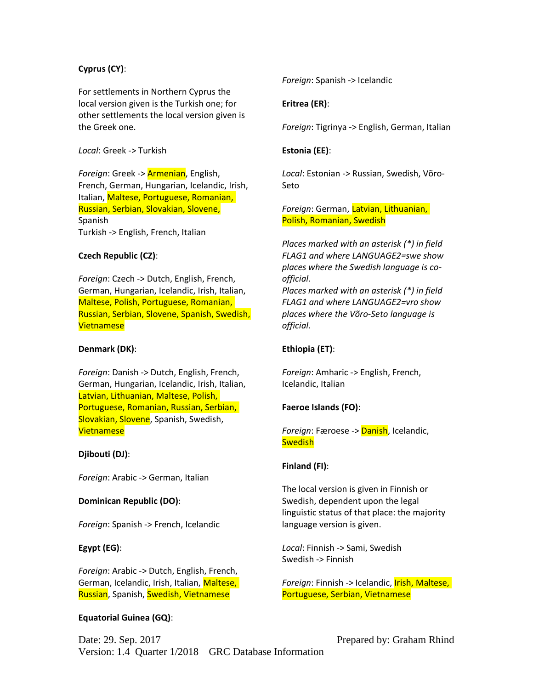### **Cyprus (CY)**:

For settlements in Northern Cyprus the local version given is the Turkish one; for other settlements the local version given is the Greek one.

#### *Local*: Greek -> Turkish

*Foreign*: Greek -> Armenian, English, French, German, Hungarian, Icelandic, Irish, Italian, Maltese, Portuguese, Romanian, Russian, Serbian, Slovakian, Slovene, Spanish Turkish -> English, French, Italian

#### **Czech Republic (CZ)**:

*Foreign*: Czech -> Dutch, English, French, German, Hungarian, Icelandic, Irish, Italian, Maltese, Polish, Portuguese, Romanian, Russian, Serbian, Slovene, Spanish, Swedish, Vietnamese

#### **Denmark (DK)**:

*Foreign*: Danish -> Dutch, English, French, German, Hungarian, Icelandic, Irish, Italian, Latvian, Lithuanian, Maltese, Polish, Portuguese, Romanian, Russian, Serbian, Slovakian, Slovene, Spanish, Swedish, Vietnamese

#### **Djibouti (DJ)**:

*Foreign*: Arabic -> German, Italian

#### **Dominican Republic (DO)**:

*Foreign*: Spanish -> French, Icelandic

#### **Egypt (EG)**:

*Foreign*: Arabic -> Dutch, English, French, German, Icelandic, Irish, Italian, Maltese, Russian, Spanish, Swedish, Vietnamese

#### **Equatorial Guinea (GQ)**:

*Foreign*: Spanish -> Icelandic

## **Eritrea (ER)**:

*Foreign*: Tigrinya -> English, German, Italian

#### **Estonia (EE)**:

*Local*: Estonian -> Russian, Swedish, Võro-Seto

*Foreign*: German, Latvian, Lithuanian, Polish, Romanian, Swedish

*Places marked with an asterisk (\*) in field FLAG1 and where LANGUAGE2=swe show places where the Swedish language is coofficial.* 

*Places marked with an asterisk (\*) in field FLAG1 and where LANGUAGE2=vro show places where the Võro-Seto language is official.* 

#### **Ethiopia (ET)**:

*Foreign*: Amharic -> English, French, Icelandic, Italian

### **Faeroe Islands (FO)**:

*Foreign*: Færoese -> Danish, Icelandic, **Swedish** 

#### **Finland (FI)**:

The local version is given in Finnish or Swedish, dependent upon the legal linguistic status of that place: the majority language version is given.

*Local*: Finnish -> Sami, Swedish Swedish -> Finnish

*Foreign*: Finnish -> Icelandic, Irish, Maltese, Portuguese, Serbian, Vietnamese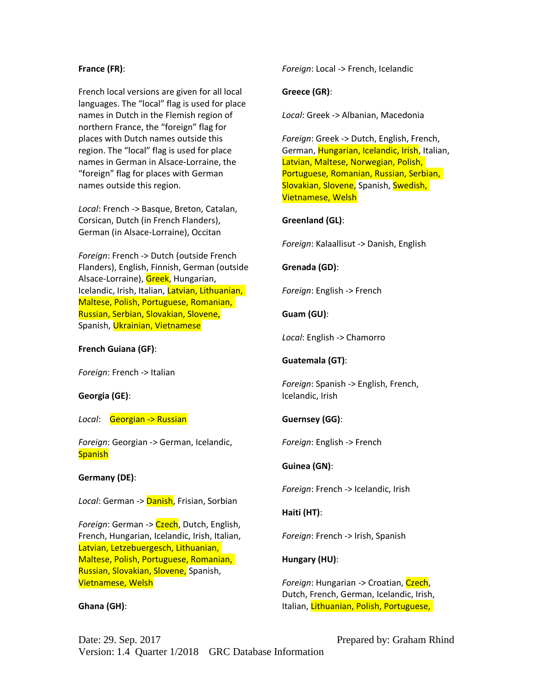#### **France (FR)**:

French local versions are given for all local languages. The "local" flag is used for place names in Dutch in the Flemish region of northern France, the "foreign" flag for places with Dutch names outside this region. The "local" flag is used for place names in German in Alsace-Lorraine, the "foreign" flag for places with German names outside this region.

*Local*: French -> Basque, Breton, Catalan, Corsican, Dutch (in French Flanders), German (in Alsace-Lorraine), Occitan

*Foreign*: French -> Dutch (outside French Flanders), English, Finnish, German (outside Alsace-Lorraine), Greek, Hungarian, Icelandic, Irish, Italian, Latvian, Lithuanian, Maltese, Polish, Portuguese, Romanian, Russian, Serbian, Slovakian, Slovene, Spanish, Ukrainian, Vietnamese

#### **French Guiana (GF)**:

*Foreign*: French -> Italian

#### **Georgia (GE)**:

*Local*: Georgian -> Russian

*Foreign*: Georgian -> German, Icelandic, **Spanish** 

## **Germany (DE)**:

*Local*: German -> Danish, Frisian, Sorbian

*Foreign*: German -> Czech, Dutch, English, French, Hungarian, Icelandic, Irish, Italian, Latvian, Letzebuergesch, Lithuanian, Maltese, Polish, Portuguese, Romanian, Russian, Slovakian, Slovene, Spanish, Vietnamese, Welsh

#### **Ghana (GH)**:

*Foreign*: Local -> French, Icelandic

### **Greece (GR)**:

*Local*: Greek -> Albanian, Macedonia

*Foreign*: Greek -> Dutch, English, French, German, Hungarian, Icelandic, Irish, Italian, Latvian, Maltese, Norwegian, Polish, Portuguese, Romanian, Russian, Serbian, Slovakian, Slovene, Spanish, Swedish, Vietnamese, Welsh

## **Greenland (GL)**:

*Foreign*: Kalaallisut -> Danish, English

### **Grenada (GD)**:

*Foreign*: English -> French

## **Guam (GU)**:

*Local*: English -> Chamorro

## **Guatemala (GT)**:

*Foreign*: Spanish -> English, French, Icelandic, Irish

## **Guernsey (GG)**:

*Foreign*: English -> French

## **Guinea (GN)**:

*Foreign*: French -> Icelandic, Irish

## **Haiti (HT)**:

*Foreign*: French -> Irish, Spanish

## **Hungary (HU)**:

*Foreign*: Hungarian -> Croatian, Czech, Dutch, French, German, Icelandic, Irish, Italian, Lithuanian, Polish, Portuguese,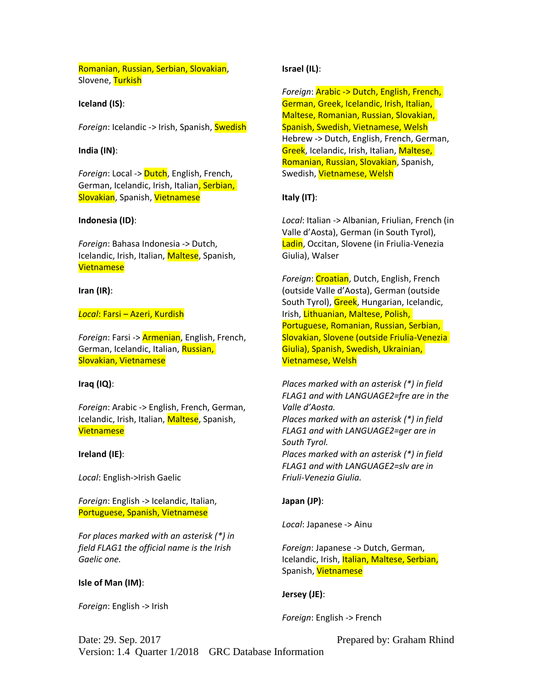Romanian, Russian, Serbian, Slovakian, Slovene, Turkish

#### **Iceland (IS)**:

*Foreign*: Icelandic -> Irish, Spanish, Swedish

#### **India (IN)**:

*Foreign*: Local -> Dutch, English, French, German, Icelandic, Irish, Italian, Serbian, Slovakian, Spanish, Vietnamese

#### **Indonesia (ID)**:

*Foreign*: Bahasa Indonesia -> Dutch, Icelandic, Irish, Italian, Maltese, Spanish, Vietnamese

#### **Iran (IR)**:

#### *Local*: Farsi – Azeri, Kurdish

*Foreign*: Farsi -> Armenian, English, French, German, Icelandic, Italian, Russian, Slovakian, Vietnamese

#### **Iraq (IQ)**:

*Foreign*: Arabic -> English, French, German, Icelandic, Irish, Italian, Maltese, Spanish, Vietnamese

#### **Ireland (IE)**:

*Local*: English->Irish Gaelic

*Foreign*: English -> Icelandic, Italian, Portuguese, Spanish, Vietnamese

*For places marked with an asterisk (\*) in field FLAG1 the official name is the Irish Gaelic one.*

#### **Isle of Man (IM)**:

*Foreign*: English -> Irish

#### **Israel (IL)**:

*Foreign*: Arabic -> Dutch, English, French, German, Greek, Icelandic, Irish, Italian, Maltese, Romanian, Russian, Slovakian, Spanish, Swedish, Vietnamese, Welsh Hebrew -> Dutch, English, French, German, Greek, Icelandic, Irish, Italian, Maltese, Romanian, Russian, Slovakian, Spanish, Swedish, Vietnamese, Welsh

### **Italy (IT)**:

*Local*: Italian -> Albanian, Friulian, French (in Valle d'Aosta), German (in South Tyrol), Ladin, Occitan, Slovene (in Friulia-Venezia Giulia), Walser

*Foreign*: Croatian, Dutch, English, French (outside Valle d'Aosta), German (outside South Tyrol), Greek, Hungarian, Icelandic, Irish, Lithuanian, Maltese, Polish, Portuguese, Romanian, Russian, Serbian, Slovakian, Slovene (outside Friulia-Venezia Giulia), Spanish, Swedish, Ukrainian, Vietnamese, Welsh

*Places marked with an asterisk (\*) in field FLAG1 and with LANGUAGE2=fre are in the Valle d'Aosta. Places marked with an asterisk (\*) in field FLAG1 and with LANGUAGE2=ger are in South Tyrol. Places marked with an asterisk (\*) in field FLAG1 and with LANGUAGE2=slv are in Friuli-Venezia Giulia.* 

#### **Japan (JP)**:

*Local*: Japanese -> Ainu

*Foreign*: Japanese -> Dutch, German, Icelandic, Irish, Italian, Maltese, Serbian, Spanish, Vietnamese

#### **Jersey (JE)**:

*Foreign*: English -> French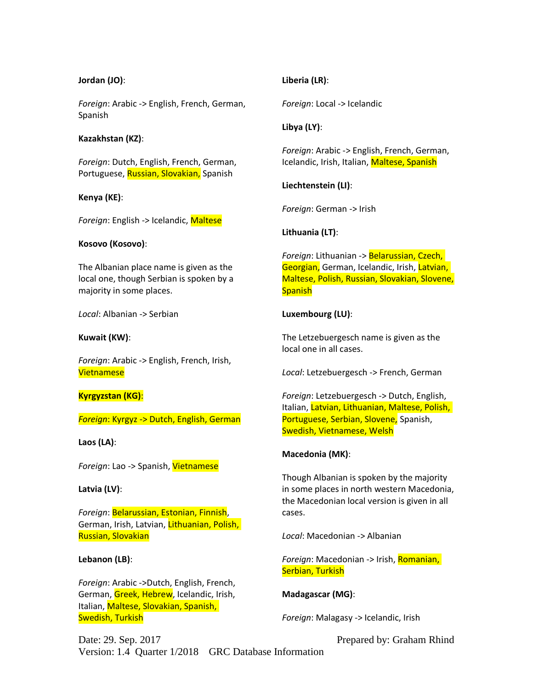#### **Jordan (JO)**:

*Foreign*: Arabic -> English, French, German, Spanish

#### **Kazakhstan (KZ)**:

*Foreign*: Dutch, English, French, German, Portuguese, Russian, Slovakian, Spanish

### **Kenya (KE)**:

*Foreign*: English -> Icelandic, Maltese

### **Kosovo (Kosovo)**:

The Albanian place name is given as the local one, though Serbian is spoken by a majority in some places.

*Local*: Albanian -> Serbian

### **Kuwait (KW)**:

*Foreign*: Arabic -> English, French, Irish, Vietnamese

## **Kyrgyzstan (KG)**:

*Foreign*: Kyrgyz -> Dutch, English, German

## **Laos (LA)**:

*Foreign*: Lao -> Spanish, Vietnamese

## **Latvia (LV)**:

*Foreign*: Belarussian, Estonian, Finnish, German, Irish, Latvian, Lithuanian, Polish, Russian, Slovakian

## **Lebanon (LB)**:

*Foreign*: Arabic ->Dutch, English, French, German, Greek, Hebrew, Icelandic, Irish, Italian, Maltese, Slovakian, Spanish, Swedish, Turkish

## **Liberia (LR)**:

*Foreign*: Local -> Icelandic

## **Libya (LY)**:

*Foreign*: Arabic -> English, French, German, Icelandic, Irish, Italian, Maltese, Spanish

**Liechtenstein (LI)**:

*Foreign*: German -> Irish

**Lithuania (LT)**:

*Foreign*: Lithuanian -> Belarussian, Czech, Georgian, German, Icelandic, Irish, Latvian, Maltese, Polish, Russian, Slovakian, Slovene, **Spanish** 

## **Luxembourg (LU)**:

The Letzebuergesch name is given as the local one in all cases.

*Local*: Letzebuergesch -> French, German

*Foreign*: Letzebuergesch -> Dutch, English, Italian, Latvian, Lithuanian, Maltese, Polish, Portuguese, Serbian, Slovene, Spanish, Swedish, Vietnamese, Welsh

## **Macedonia (MK)**:

Though Albanian is spoken by the majority in some places in north western Macedonia, the Macedonian local version is given in all cases.

*Local*: Macedonian -> Albanian

*Foreign*: Macedonian -> Irish, Romanian, Serbian, Turkish

## **Madagascar (MG)**:

*Foreign*: Malagasy -> Icelandic, Irish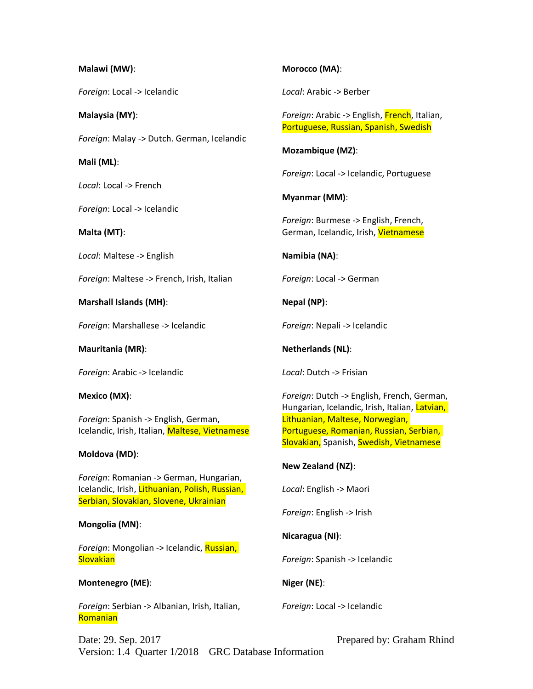### **Malawi (MW)**:

*Foreign*: Local -> Icelandic

**Malaysia (MY)**:

*Foreign*: Malay -> Dutch. German, Icelandic

**Mali (ML)**:

*Local*: Local -> French

*Foreign*: Local -> Icelandic

**Malta (MT)**:

*Local*: Maltese -> English

*Foreign*: Maltese -> French, Irish, Italian

**Marshall Islands (MH)**:

*Foreign*: Marshallese -> Icelandic

**Mauritania (MR)**:

*Foreign*: Arabic -> Icelandic

**Mexico (MX)**:

*Foreign*: Spanish -> English, German, Icelandic, Irish, Italian, Maltese, Vietnamese

## **Moldova (MD)**:

*Foreign*: Romanian -> German, Hungarian, Icelandic, Irish, Lithuanian, Polish, Russian, Serbian, Slovakian, Slovene, Ukrainian

## **Mongolia (MN)**:

*Foreign*: Mongolian -> Icelandic, Russian, **Slovakian** 

## **Montenegro (ME)**:

*Foreign*: Serbian -> Albanian, Irish, Italian, Romanian

# **Morocco (MA)**:

*Local*: Arabic -> Berber

*Foreign*: Arabic -> English, French, Italian, Portuguese, Russian, Spanish, Swedish

**Mozambique (MZ)**:

*Foreign*: Local -> Icelandic, Portuguese

**Myanmar (MM)**:

*Foreign*: Burmese -> English, French, German, Icelandic, Irish, Vietnamese

**Namibia (NA)**:

*Foreign*: Local -> German

**Nepal (NP)**:

*Foreign*: Nepali -> Icelandic

**Netherlands (NL)**:

*Local*: Dutch -> Frisian

*Foreign*: Dutch -> English, French, German, Hungarian, Icelandic, Irish, Italian, Latvian, Lithuanian, Maltese, Norwegian, Portuguese, Romanian, Russian, Serbian, Slovakian, Spanish, Swedish, Vietnamese

# **New Zealand (NZ)**:

*Local*: English -> Maori

*Foreign*: English -> Irish

**Nicaragua (NI)**:

*Foreign*: Spanish -> Icelandic

**Niger (NE)**:

*Foreign*: Local -> Icelandic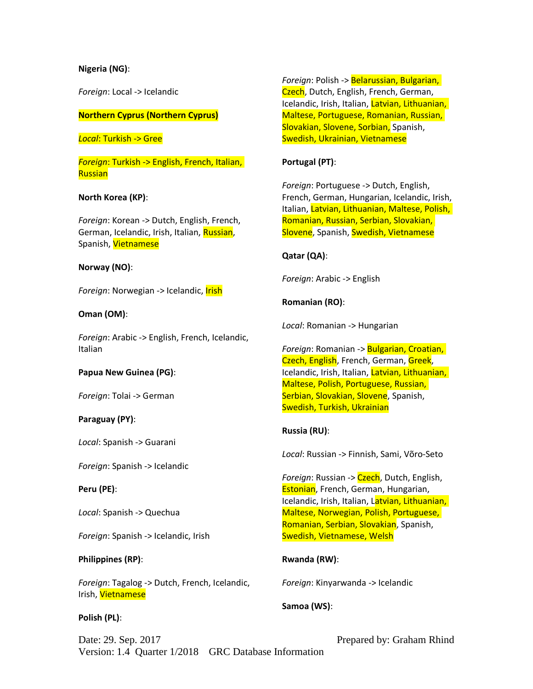### **Nigeria (NG)**:

*Foreign*: Local -> Icelandic

### **Northern Cyprus (Northern Cyprus)**

*Local*: Turkish -> Gree

*Foreign*: Turkish -> English, French, Italian, Russian

### **North Korea (KP)**:

*Foreign*: Korean -> Dutch, English, French, German, Icelandic, Irish, Italian, Russian, Spanish, Vietnamese

### **Norway (NO)**:

*Foreign*: Norwegian -> Icelandic, Irish

### **Oman (OM)**:

*Foreign*: Arabic -> English, French, Icelandic, Italian

#### **Papua New Guinea (PG)**:

*Foreign*: Tolai -> German

## **Paraguay (PY)**:

*Local*: Spanish -> Guarani

*Foreign*: Spanish -> Icelandic

#### **Peru (PE)**:

*Local*: Spanish -> Quechua

*Foreign*: Spanish -> Icelandic, Irish

## **Philippines (RP)**:

*Foreign*: Tagalog -> Dutch, French, Icelandic, Irish, Vietnamese

#### **Polish (PL)**:

*Foreign*: Polish -> Belarussian, Bulgarian, Czech, Dutch, English, French, German, Icelandic, Irish, Italian, Latvian, Lithuanian, Maltese, Portuguese, Romanian, Russian, Slovakian, Slovene, Sorbian, Spanish,

Swedish, Ukrainian, Vietnamese

## **Portugal (PT)**:

*Foreign*: Portuguese -> Dutch, English, French, German, Hungarian, Icelandic, Irish, Italian, Latvian, Lithuanian, Maltese, Polish, Romanian, Russian, Serbian, Slovakian, Slovene, Spanish, Swedish, Vietnamese

## **Qatar (QA)**:

*Foreign*: Arabic -> English

**Romanian (RO)**:

*Local*: Romanian -> Hungarian

*Foreign*: Romanian -> Bulgarian, Croatian, Czech, English, French, German, Greek, Icelandic, Irish, Italian, Latvian, Lithuanian, Maltese, Polish, Portuguese, Russian, Serbian, Slovakian, Slovene, Spanish, Swedish, Turkish, Ukrainian

## **Russia (RU)**:

*Local*: Russian -> Finnish, Sami, Võro-Seto

*Foreign*: Russian -> Czech, Dutch, English, Estonian, French, German, Hungarian, Icelandic, Irish, Italian, Latvian, Lithuanian, Maltese, Norwegian, Polish, Portuguese, Romanian, Serbian, Slovakian, Spanish, Swedish, Vietnamese, Welsh

## **Rwanda (RW)**:

*Foreign*: Kinyarwanda -> Icelandic

## **Samoa (WS)**: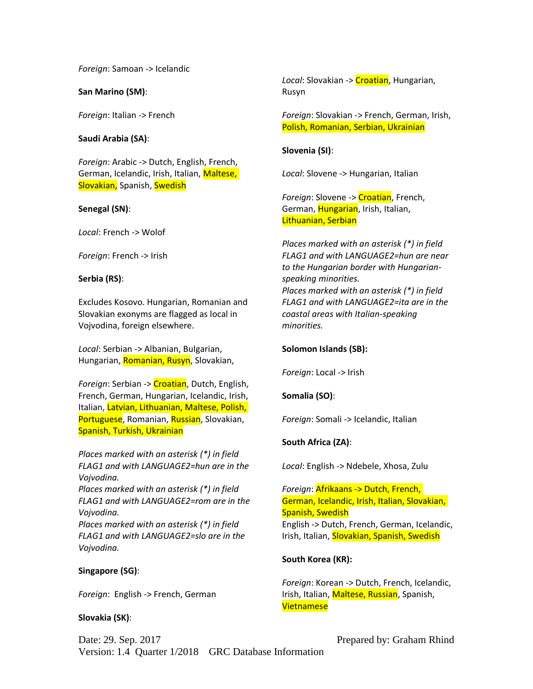*Foreign*: Samoan -> Icelandic

**San Marino (SM)**:

*Foreign*: Italian -> French

**Saudi Arabia (SA)**:

*Foreign*: Arabic -> Dutch, English, French, German, Icelandic, Irish, Italian, Maltese, Slovakian, Spanish, Swedish

#### **Senegal (SN)**:

*Local*: French -> Wolof

*Foreign*: French -> Irish

#### **Serbia (RS)**:

Excludes Kosovo. Hungarian, Romanian and Slovakian exonyms are flagged as local in Vojvodina, foreign elsewhere.

*Local*: Serbian -> Albanian, Bulgarian, Hungarian, Romanian, Rusyn, Slovakian,

*Foreign*: Serbian -> Croatian, Dutch, English, French, German, Hungarian, Icelandic, Irish, Italian, Latvian, Lithuanian, Maltese, Polish, Portuguese, Romanian, Russian, Slovakian, Spanish, Turkish, Ukrainian

*Places marked with an asterisk (\*) in field FLAG1 and with LANGUAGE2=hun are in the Vojvodina.*

*Places marked with an asterisk (\*) in field FLAG1 and with LANGUAGE2=rom are in the Vojvodina.*

*Places marked with an asterisk (\*) in field FLAG1 and with LANGUAGE2=slo are in the Vojvodina.*

#### **Singapore (SG)**:

*Foreign*: English -> French, German

#### **Slovakia (SK)**:

*Local*: Slovakian -> Croatian, Hungarian, Rusyn

*Foreign*: Slovakian -> French, German, Irish, Polish, Romanian, Serbian, Ukrainian

**Slovenia (SI)**:

*Local*: Slovene -> Hungarian, Italian

*Foreign*: Slovene -> Croatian, French, German, Hungarian, Irish, Italian, Lithuanian, Serbian

*Places marked with an asterisk (\*) in field FLAG1 and with LANGUAGE2=hun are near to the Hungarian border with Hungarianspeaking minorities. Places marked with an asterisk (\*) in field FLAG1 and with LANGUAGE2=ita are in the coastal areas with Italian-speaking minorities.*

#### **Solomon Islands (SB):**

*Foreign*: Local -> Irish

#### **Somalia (SO)**:

*Foreign*: Somali -> Icelandic, Italian

#### **South Africa (ZA)**:

*Local*: English -> Ndebele, Xhosa, Zulu

*Foreign*: Afrikaans -> Dutch, French, German, Icelandic, Irish, Italian, Slovakian, Spanish, Swedish English -> Dutch, French, German, Icelandic, Irish, Italian, Slovakian, Spanish, Swedish

## **South Korea (KR):**

*Foreign*: Korean -> Dutch, French, Icelandic, Irish, Italian, Maltese, Russian, Spanish, Vietnamese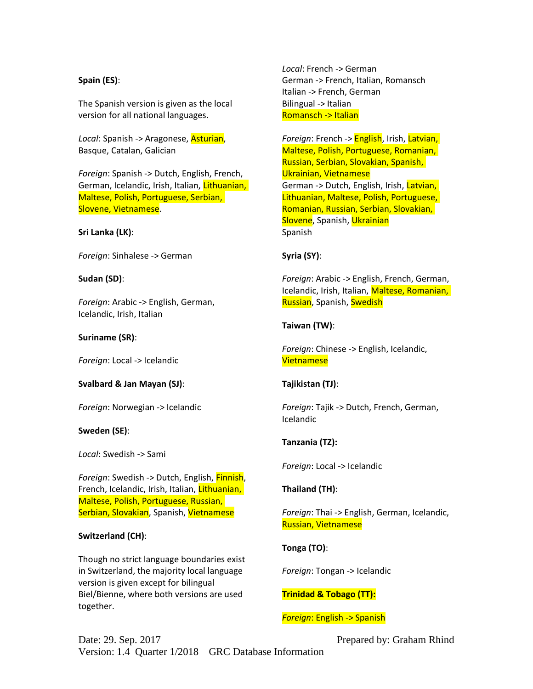## **Spain (ES)**:

The Spanish version is given as the local version for all national languages.

*Local*: Spanish -> Aragonese, Asturian, Basque, Catalan, Galician

*Foreign*: Spanish -> Dutch, English, French, German, Icelandic, Irish, Italian, Lithuanian, Maltese, Polish, Portuguese, Serbian, Slovene, Vietnamese.

#### **Sri Lanka (LK)**:

*Foreign*: Sinhalese -> German

#### **Sudan (SD)**:

*Foreign*: Arabic -> English, German, Icelandic, Irish, Italian

#### **Suriname (SR)**:

*Foreign*: Local -> Icelandic

#### **Svalbard & Jan Mayan (SJ)**:

*Foreign*: Norwegian -> Icelandic

#### **Sweden (SE)**:

*Local*: Swedish -> Sami

*Foreign*: Swedish -> Dutch, English, Finnish, French, Icelandic, Irish, Italian, Lithuanian, Maltese, Polish, Portuguese, Russian, Serbian, Slovakian, Spanish, Vietnamese

#### **Switzerland (CH)**:

Though no strict language boundaries exist in Switzerland, the majority local language version is given except for bilingual Biel/Bienne, where both versions are used together.

*Local*: French -> German German -> French, Italian, Romansch Italian -> French, German Bilingual -> Italian Romansch -> Italian

*Foreign*: French -> English, Irish, Latvian, Maltese, Polish, Portuguese, Romanian, Russian, Serbian, Slovakian, Spanish, Ukrainian, Vietnamese German -> Dutch, English, Irish, Latvian, Lithuanian, Maltese, Polish, Portuguese, Romanian, Russian, Serbian, Slovakian, Slovene, Spanish, Ukrainian Spanish

#### **Syria (SY)**:

*Foreign*: Arabic -> English, French, German, Icelandic, Irish, Italian, Maltese, Romanian, Russian, Spanish, Swedish

#### **Taiwan (TW)**:

*Foreign*: Chinese -> English, Icelandic, Vietnamese

#### **Tajikistan (TJ)**:

*Foreign*: Tajik -> Dutch, French, German, Icelandic

#### **Tanzania (TZ):**

*Foreign*: Local -> Icelandic

#### **Thailand (TH)**:

*Foreign*: Thai -> English, German, Icelandic, Russian, Vietnamese

#### **Tonga (TO)**:

*Foreign*: Tongan -> Icelandic

## **Trinidad & Tobago (TT):**

#### *Foreign*: English -> Spanish